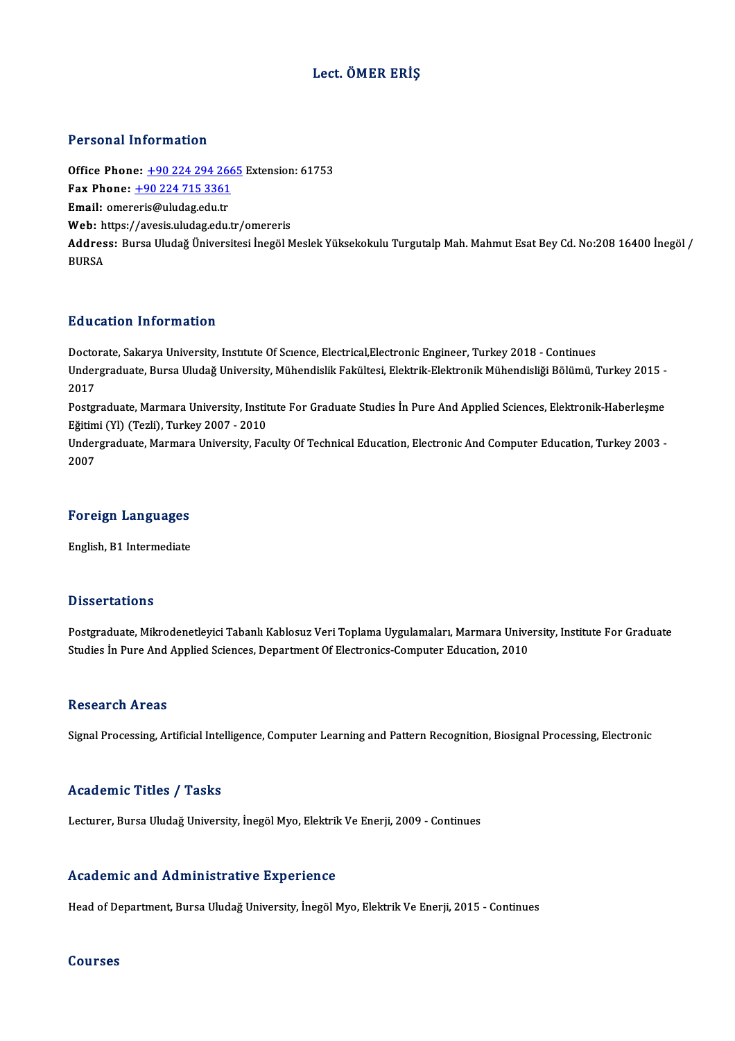## Lect. ÖMER ERİŞ

### Personal Information

Personal Information<br>Office Phone: <u>+90 224 294 2665</u> Extension: 61753<br>Fax Phone: 190 224 715 2261 1 0100111 11101 1111011<br>
0ffice Phone: <u>+90 224 294 266</u><br>
Fax Phone: <u>+90 224 715 3361</u><br>
Email: emergris@uludes.edu.tr Office Phone: <u>+90 224 294 26</u><br>Fax Phone: <u>+90 224 715 3361</u><br>Email: omer[eris@uludag.edu.tr](tel:+90 224 715 3361) Fax Phone:  $\pm$ 90 224 715 3361<br>Email: omereris@uludag.edu.tr<br>Web: https://avesis.uludag.edu.tr/omereris Email: omereris@uludag.edu.tr<br>Web: https://avesis.uludag.edu.tr/omereris<br>Address: Bursa Uludağ Üniversitesi İnegöl Meslek Yüksekokulu Turgutalp Mah. Mahmut Esat Bey Cd. No:208 16400 İnegöl / Web: h<br>Addres<br>BURSA

### Education Information

Doctorate, Sakarya University, Institute Of Science, Electrical, Electronic Engineer, Turkey 2018 - Continues Du u outrori Trivor Inderon<br>Doctorate, Sakarya University, Institute Of Science, Electrical,Electronic Engineer, Turkey 2018 - Continues<br>Undergraduate, Bursa Uludağ University, Mühendislik Fakültesi, Elektrik-Elektronik Mü Docto<br>Under<br>2017<br><sup>Posto</sup> Undergraduate, Bursa Uludağ University, Mühendislik Fakültesi, Elektrik-Elektronik Mühendisliği Bölümü, Turkey 2015<br>2017<br>Postgraduate, Marmara University, Institute For Graduate Studies İn Pure And Applied Sciences, Elektr

2017<br>Postgraduate, Marmara University, Instit<br>Eğitimi (Yl) (Tezli), Turkey 2007 - 2010<br>Undergraduate Marmara University, Ess Postgraduate, Marmara University, Institute For Graduate Studies İn Pure And Applied Sciences, Elektronik-Haberleşme<br>Eğitimi (Yl) (Tezli), Turkey 2007 - 2010<br>Undergraduate, Marmara University, Faculty Of Technical Educatio

Eğitimi (Yl) (Tezli), Turkey 2007 - 2010<br>Undergraduate, Marmara University, Faculty Of Technical Education, Electronic And Computer Education, Turkey 2003 -<br>2007

#### Foreign Languages

English, B1 Intermediate

## **Dissertations**

Postgraduate, Mikrodenetleyici Tabanlı Kablosuz Veri Toplama Uygulamaları, Marmara University, Institute For Graduate Studies İn Pure And Applied Sciences, Department Of Electronics-Computer Education, 2010

#### Research Areas

Signal Processing, Artificial Intelligence, Computer Learning and Pattern Recognition, Biosignal Processing, Electronic

### Academic Titles / Tasks

Lecturer, Bursa Uludağ University, İnegöl Myo, Elektrik Ve Enerji, 2009 - Continues

### Academic and Administrative Experience

Head of Department, Bursa Uludağ University, İnegöl Myo, Elektrik Ve Enerji, 2015 - Continues

#### Courses